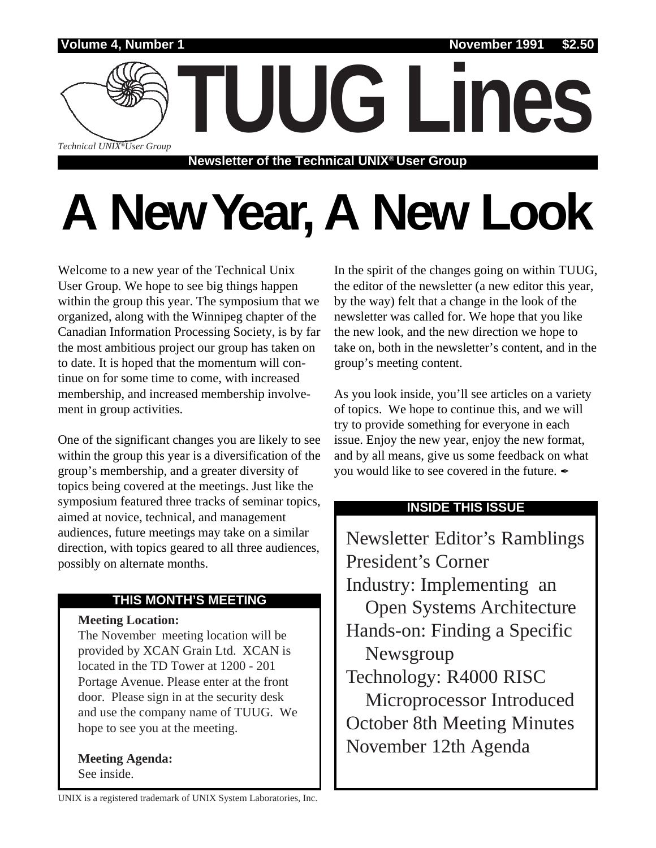

# **A New Year, A New Look**

Welcome to a new year of the Technical Unix User Group. We hope to see big things happen within the group this year. The symposium that we organized, along with the Winnipeg chapter of the Canadian Information Processing Society, is by far the most ambitious project our group has taken on to date. It is hoped that the momentum will continue on for some time to come, with increased membership, and increased membership involvement in group activities.

One of the significant changes you are likely to see within the group this year is a diversification of the group's membership, and a greater diversity of topics being covered at the meetings. Just like the symposium featured three tracks of seminar topics, aimed at novice, technical, and management audiences, future meetings may take on a similar direction, with topics geared to all three audiences, possibly on alternate months.

#### **THIS MONTH'S MEETING**

#### **Meeting Location:**

The November meeting location will be provided by XCAN Grain Ltd. XCAN is located in the TD Tower at 1200 - 201 Portage Avenue. Please enter at the front door. Please sign in at the security desk and use the company name of TUUG. We hope to see you at the meeting.

**Meeting Agenda:** See inside.

In the spirit of the changes going on within TUUG, the editor of the newsletter (a new editor this year, by the way) felt that a change in the look of the newsletter was called for. We hope that you like the new look, and the new direction we hope to take on, both in the newsletter's content, and in the group's meeting content.

As you look inside, you'll see articles on a variety of topics. We hope to continue this, and we will try to provide something for everyone in each issue. Enjoy the new year, enjoy the new format, and by all means, give us some feedback on what you would like to see covered in the future.  $\mathcal I$ 

#### **INSIDE THIS ISSUE**

Newsletter Editor's Ramblings President's Corner Industry: Implementing an Open Systems Architecture Hands-on: Finding a Specific Newsgroup Technology: R4000 RISC Microprocessor Introduced October 8th Meeting Minutes November 12th Agenda

UNIX is a registered trademark of UNIX System Laboratories, Inc.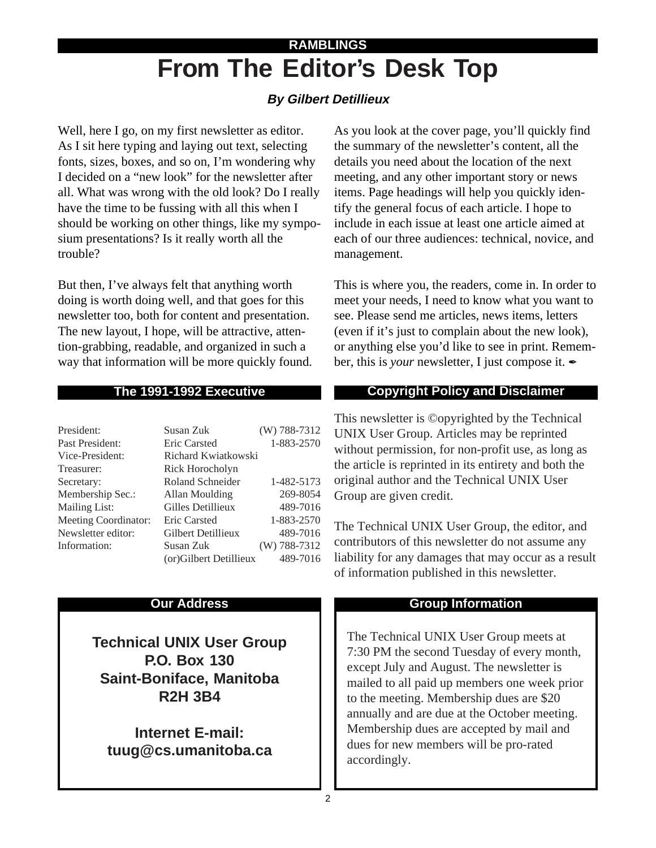# **From The Editor's Desk Top RAMBLINGS**

#### **By Gilbert Detillieux**

Well, here I go, on my first newsletter as editor. As I sit here typing and laying out text, selecting fonts, sizes, boxes, and so on, I'm wondering why I decided on a "new look" for the newsletter after all. What was wrong with the old look? Do I really have the time to be fussing with all this when I should be working on other things, like my symposium presentations? Is it really worth all the trouble?

But then, I've always felt that anything worth doing is worth doing well, and that goes for this newsletter too, both for content and presentation. The new layout, I hope, will be attractive, attention-grabbing, readable, and organized in such a way that information will be more quickly found.

#### **The 1991-1992 Executive**

| President:           | Susan Zuk              | (W) 788-7312   |
|----------------------|------------------------|----------------|
| Past President:      | <b>Eric Carsted</b>    | 1-883-2570     |
| Vice-President:      | Richard Kwiatkowski    |                |
| Treasurer:           | Rick Horocholyn        |                |
| Secretary:           | Roland Schneider       | 1-482-5173     |
| Membership Sec.:     | Allan Moulding         | 269-8054       |
| <b>Mailing List:</b> | Gilles Detillieux      | 489-7016       |
| Meeting Coordinator: | Eric Carsted           | 1-883-2570     |
| Newsletter editor:   | Gilbert Detillieux     | 489-7016       |
| Information:         | Susan Zuk              | $(W)$ 788-7312 |
|                      | (or)Gilbert Detillieux | 489-7016       |

#### **Our Address**

**Technical UNIX User Group P.O. Box 130 Saint-Boniface, Manitoba R2H 3B4**

**Internet E-mail: tuug@cs.umanitoba.ca** As you look at the cover page, you'll quickly find the summary of the newsletter's content, all the details you need about the location of the next meeting, and any other important story or news items. Page headings will help you quickly identify the general focus of each article. I hope to include in each issue at least one article aimed at each of our three audiences: technical, novice, and management.

This is where you, the readers, come in. In order to meet your needs, I need to know what you want to see. Please send me articles, news items, letters (even if it's just to complain about the new look), or anything else you'd like to see in print. Remember, this is *your* newsletter, I just compose it.  $\mathcal I$ 

#### **Copyright Policy and Disclaimer**

This newsletter is ©opyrighted by the Technical UNIX User Group. Articles may be reprinted without permission, for non-profit use, as long as the article is reprinted in its entirety and both the original author and the Technical UNIX User Group are given credit.

The Technical UNIX User Group, the editor, and contributors of this newsletter do not assume any liability for any damages that may occur as a result of information published in this newsletter.

#### **Group Information**

The Technical UNIX User Group meets at 7:30 PM the second Tuesday of every month, except July and August. The newsletter is mailed to all paid up members one week prior to the meeting. Membership dues are \$20 annually and are due at the October meeting. Membership dues are accepted by mail and dues for new members will be pro-rated accordingly.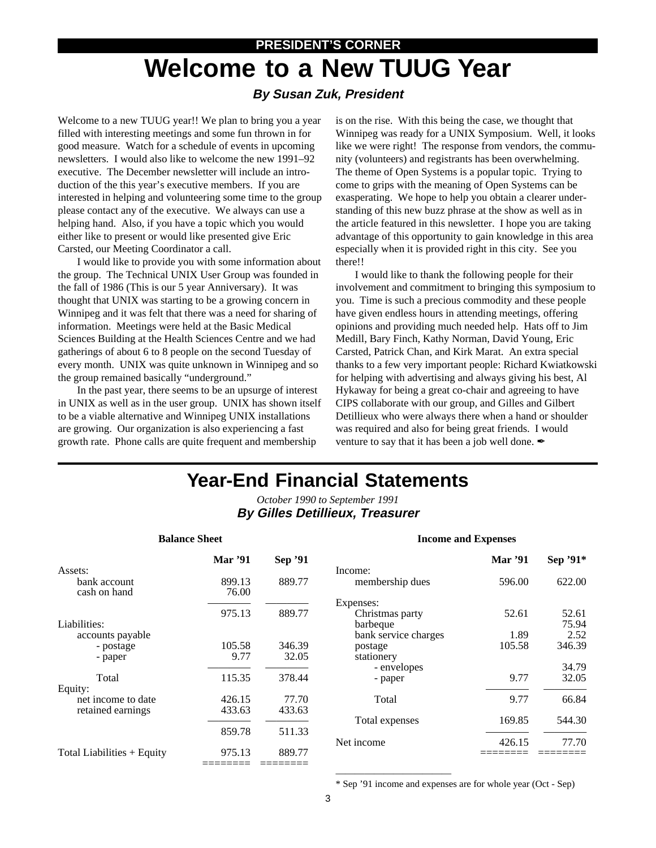# **PRESIDENT'S CORNER Welcome to a New TUUG Year**

#### **By Susan Zuk, President**

Welcome to a new TUUG year!! We plan to bring you a year filled with interesting meetings and some fun thrown in for good measure. Watch for a schedule of events in upcoming newsletters. I would also like to welcome the new 1991–92 executive. The December newsletter will include an introduction of the this year's executive members. If you are interested in helping and volunteering some time to the group please contact any of the executive. We always can use a helping hand. Also, if you have a topic which you would either like to present or would like presented give Eric Carsted, our Meeting Coordinator a call.

I would like to provide you with some information about the group. The Technical UNIX User Group was founded in the fall of 1986 (This is our 5 year Anniversary). It was thought that UNIX was starting to be a growing concern in Winnipeg and it was felt that there was a need for sharing of information. Meetings were held at the Basic Medical Sciences Building at the Health Sciences Centre and we had gatherings of about 6 to 8 people on the second Tuesday of every month. UNIX was quite unknown in Winnipeg and so the group remained basically "underground."

In the past year, there seems to be an upsurge of interest in UNIX as well as in the user group. UNIX has shown itself to be a viable alternative and Winnipeg UNIX installations are growing. Our organization is also experiencing a fast growth rate. Phone calls are quite frequent and membership

is on the rise. With this being the case, we thought that Winnipeg was ready for a UNIX Symposium. Well, it looks like we were right! The response from vendors, the community (volunteers) and registrants has been overwhelming. The theme of Open Systems is a popular topic. Trying to come to grips with the meaning of Open Systems can be exasperating. We hope to help you obtain a clearer understanding of this new buzz phrase at the show as well as in the article featured in this newsletter. I hope you are taking advantage of this opportunity to gain knowledge in this area especially when it is provided right in this city. See you there!!

I would like to thank the following people for their involvement and commitment to bringing this symposium to you. Time is such a precious commodity and these people have given endless hours in attending meetings, offering opinions and providing much needed help. Hats off to Jim Medill, Bary Finch, Kathy Norman, David Young, Eric Carsted, Patrick Chan, and Kirk Marat. An extra special thanks to a few very important people: Richard Kwiatkowski for helping with advertising and always giving his best, Al Hykaway for being a great co-chair and agreeing to have CIPS collaborate with our group, and Gilles and Gilbert Detillieux who were always there when a hand or shoulder was required and also for being great friends. I would venture to say that it has been a job well done.  $\mathcal I$ 

# **Year-End Financial Statements**

*October 1990 to September 1991* **By Gilles Detillieux, Treasurer**

|                                                             | <b>Mar</b> '91   | Sep '91         |
|-------------------------------------------------------------|------------------|-----------------|
| Assets:<br>bank account<br>cash on hand                     | 899.13<br>76.00  | 889.77          |
| Liabilities:                                                | 975.13           | 889.77          |
| accounts payable<br>- postage<br>- paper                    | 105.58<br>9.77   | 346.39<br>32.05 |
| Total<br>Equity:<br>net income to date<br>retained earnings | 115.35           | 378.44          |
|                                                             | 426.15<br>433.63 | 77.70<br>433.63 |
|                                                             | 859.78           | 511.33          |
| Total Liabilities + Equity                                  | 975.13           | 889.77          |

#### **Income and Expenses**

|                      | <b>Mar</b> '91 | Sep '91* |
|----------------------|----------------|----------|
| Income:              |                |          |
| membership dues      | 596.00         | 622.00   |
| Expenses:            |                |          |
| Christmas party      | 52.61          | 52.61    |
| barbeque             |                | 75.94    |
| bank service charges | 1.89           | 2.52     |
| postage              | 105.58         | 346.39   |
| stationery           |                |          |
| - envelopes          |                | 34.79    |
| - paper              | 9.77           | 32.05    |
| Total                | 9.77           | 66.84    |
| Total expenses       | 169.85         | 544.30   |
| Net income           | 426.15         | 77.70    |
|                      |                |          |

\* Sep '91 income and expenses are for whole year (Oct - Sep)

————————————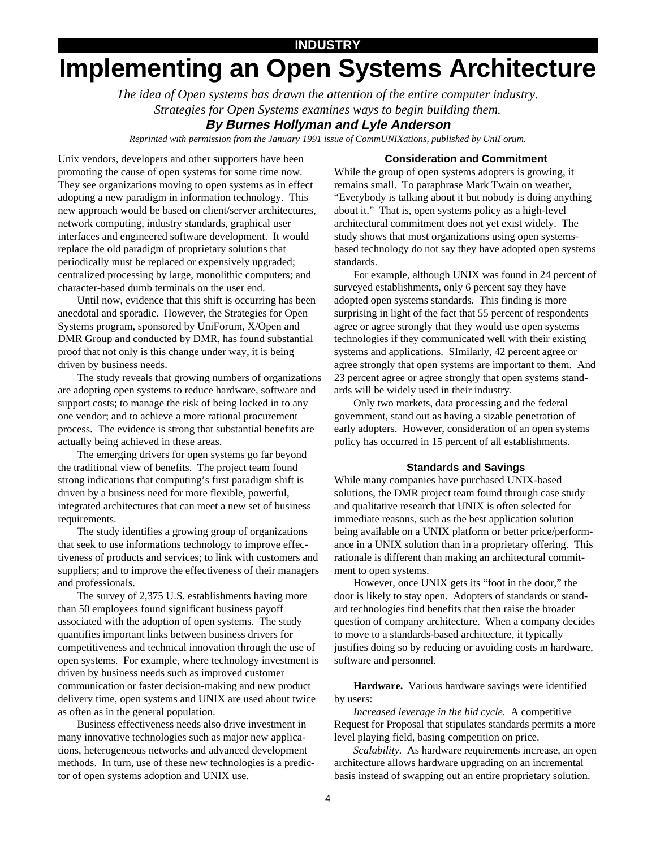#### **INDUSTRY**

# **Implementing an Open Systems Architecture**

*The idea of Open systems has drawn the attention of the entire computer industry. Strategies for Open Systems examines ways to begin building them.*

#### **By Burnes Hollyman and Lyle Anderson**

*Reprinted with permission from the January 1991 issue of CommUNIXations, published by UniForum.*

#### **Consideration and Commitment**

Unix vendors, developers and other supporters have been promoting the cause of open systems for some time now. They see organizations moving to open systems as in effect adopting a new paradigm in information technology. This new approach would be based on client/server architectures, network computing, industry standards, graphical user interfaces and engineered software development. It would replace the old paradigm of proprietary solutions that periodically must be replaced or expensively upgraded; centralized processing by large, monolithic computers; and character-based dumb terminals on the user end.

Until now, evidence that this shift is occurring has been anecdotal and sporadic. However, the Strategies for Open Systems program, sponsored by UniForum, X/Open and DMR Group and conducted by DMR, has found substantial proof that not only is this change under way, it is being driven by business needs.

The study reveals that growing numbers of organizations are adopting open systems to reduce hardware, software and support costs; to manage the risk of being locked in to any one vendor; and to achieve a more rational procurement process. The evidence is strong that substantial benefits are actually being achieved in these areas.

The emerging drivers for open systems go far beyond the traditional view of benefits. The project team found strong indications that computing's first paradigm shift is driven by a business need for more flexible, powerful, integrated architectures that can meet a new set of business requirements.

The study identifies a growing group of organizations that seek to use informations technology to improve effectiveness of products and services; to link with customers and suppliers; and to improve the effectiveness of their managers and professionals.

The survey of 2,375 U.S. establishments having more than 50 employees found significant business payoff associated with the adoption of open systems. The study quantifies important links between business drivers for competitiveness and technical innovation through the use of open systems. For example, where technology investment is driven by business needs such as improved customer communication or faster decision-making and new product delivery time, open systems and UNIX are used about twice as often as in the general population.

Business effectiveness needs also drive investment in many innovative technologies such as major new applications, heterogeneous networks and advanced development methods. In turn, use of these new technologies is a predictor of open systems adoption and UNIX use.

While the group of open systems adopters is growing, it remains small. To paraphrase Mark Twain on weather, "Everybody is talking about it but nobody is doing anything about it." That is, open systems policy as a high-level architectural commitment does not yet exist widely. The study shows that most organizations using open systemsbased technology do not say they have adopted open systems standards.

For example, although UNIX was found in 24 percent of surveyed establishments, only 6 percent say they have adopted open systems standards. This finding is more surprising in light of the fact that 55 percent of respondents agree or agree strongly that they would use open systems technologies if they communicated well with their existing systems and applications. SImilarly, 42 percent agree or agree strongly that open systems are important to them. And 23 percent agree or agree strongly that open systems standards will be widely used in their industry.

Only two markets, data processing and the federal government, stand out as having a sizable penetration of early adopters. However, consideration of an open systems policy has occurred in 15 percent of all establishments.

#### **Standards and Savings**

While many companies have purchased UNIX-based solutions, the DMR project team found through case study and qualitative research that UNIX is often selected for immediate reasons, such as the best application solution being available on a UNIX platform or better price/performance in a UNIX solution than in a proprietary offering. This rationale is different than making an architectural commitment to open systems.

However, once UNIX gets its "foot in the door," the door is likely to stay open. Adopters of standards or standard technologies find benefits that then raise the broader question of company architecture. When a company decides to move to a standards-based architecture, it typically justifies doing so by reducing or avoiding costs in hardware, software and personnel.

**Hardware.** Various hardware savings were identified by users:

*Increased leverage in the bid cycle.* A competitive Request for Proposal that stipulates standards permits a more level playing field, basing competition on price.

*Scalability.* As hardware requirements increase, an open architecture allows hardware upgrading on an incremental basis instead of swapping out an entire proprietary solution.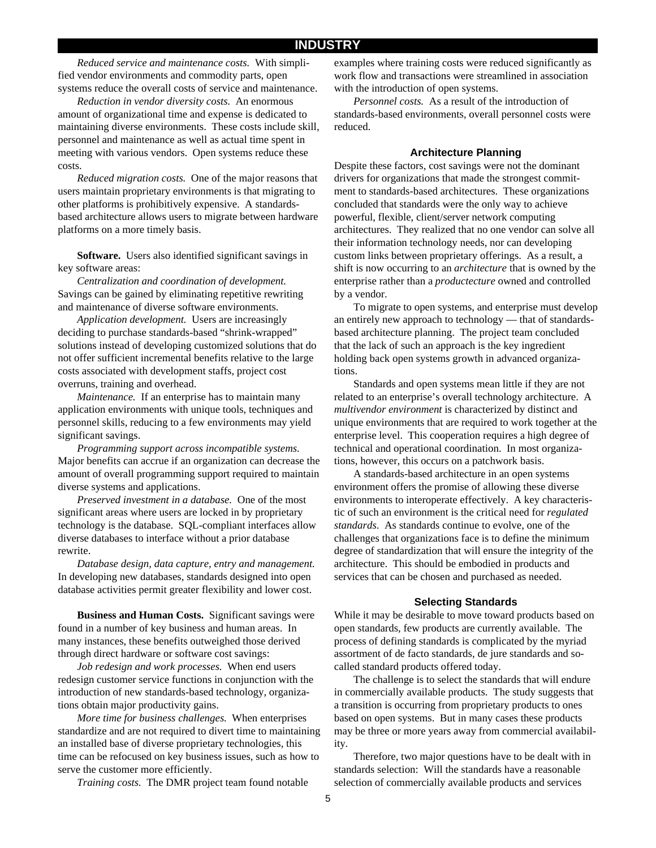*Reduced service and maintenance costs.* With simplified vendor environments and commodity parts, open systems reduce the overall costs of service and maintenance.

*Reduction in vendor diversity costs.* An enormous amount of organizational time and expense is dedicated to maintaining diverse environments. These costs include skill, personnel and maintenance as well as actual time spent in meeting with various vendors. Open systems reduce these costs.

*Reduced migration costs.* One of the major reasons that users maintain proprietary environments is that migrating to other platforms is prohibitively expensive. A standardsbased architecture allows users to migrate between hardware platforms on a more timely basis.

**Software.** Users also identified significant savings in key software areas:

*Centralization and coordination of development.* Savings can be gained by eliminating repetitive rewriting and maintenance of diverse software environments.

*Application development.* Users are increasingly deciding to purchase standards-based "shrink-wrapped" solutions instead of developing customized solutions that do not offer sufficient incremental benefits relative to the large costs associated with development staffs, project cost overruns, training and overhead.

*Maintenance.* If an enterprise has to maintain many application environments with unique tools, techniques and personnel skills, reducing to a few environments may yield significant savings.

*Programming support across incompatible systems.* Major benefits can accrue if an organization can decrease the amount of overall programming support required to maintain diverse systems and applications.

*Preserved investment in a database.* One of the most significant areas where users are locked in by proprietary technology is the database. SQL-compliant interfaces allow diverse databases to interface without a prior database rewrite.

*Database design, data capture, entry and management.* In developing new databases, standards designed into open database activities permit greater flexibility and lower cost.

**Business and Human Costs.** Significant savings were found in a number of key business and human areas. In many instances, these benefits outweighed those derived through direct hardware or software cost savings:

*Job redesign and work processes.* When end users redesign customer service functions in conjunction with the introduction of new standards-based technology, organizations obtain major productivity gains.

*More time for business challenges.* When enterprises standardize and are not required to divert time to maintaining an installed base of diverse proprietary technologies, this time can be refocused on key business issues, such as how to serve the customer more efficiently.

*Training costs.* The DMR project team found notable

examples where training costs were reduced significantly as work flow and transactions were streamlined in association with the introduction of open systems.

*Personnel costs.* As a result of the introduction of standards-based environments, overall personnel costs were reduced.

#### **Architecture Planning**

Despite these factors, cost savings were not the dominant drivers for organizations that made the strongest commitment to standards-based architectures. These organizations concluded that standards were the only way to achieve powerful, flexible, client/server network computing architectures. They realized that no one vendor can solve all their information technology needs, nor can developing custom links between proprietary offerings. As a result, a shift is now occurring to an *architecture* that is owned by the enterprise rather than a *productecture* owned and controlled by a vendor.

To migrate to open systems, and enterprise must develop an entirely new approach to technology — that of standardsbased architecture planning. The project team concluded that the lack of such an approach is the key ingredient holding back open systems growth in advanced organizations.

Standards and open systems mean little if they are not related to an enterprise's overall technology architecture. A *multivendor environment* is characterized by distinct and unique environments that are required to work together at the enterprise level. This cooperation requires a high degree of technical and operational coordination. In most organizations, however, this occurs on a patchwork basis.

A standards-based architecture in an open systems environment offers the promise of allowing these diverse environments to interoperate effectively. A key characteristic of such an environment is the critical need for *regulated standards*. As standards continue to evolve, one of the challenges that organizations face is to define the minimum degree of standardization that will ensure the integrity of the architecture. This should be embodied in products and services that can be chosen and purchased as needed.

#### **Selecting Standards**

While it may be desirable to move toward products based on open standards, few products are currently available. The process of defining standards is complicated by the myriad assortment of de facto standards, de jure standards and socalled standard products offered today.

The challenge is to select the standards that will endure in commercially available products. The study suggests that a transition is occurring from proprietary products to ones based on open systems. But in many cases these products may be three or more years away from commercial availability.

Therefore, two major questions have to be dealt with in standards selection: Will the standards have a reasonable selection of commercially available products and services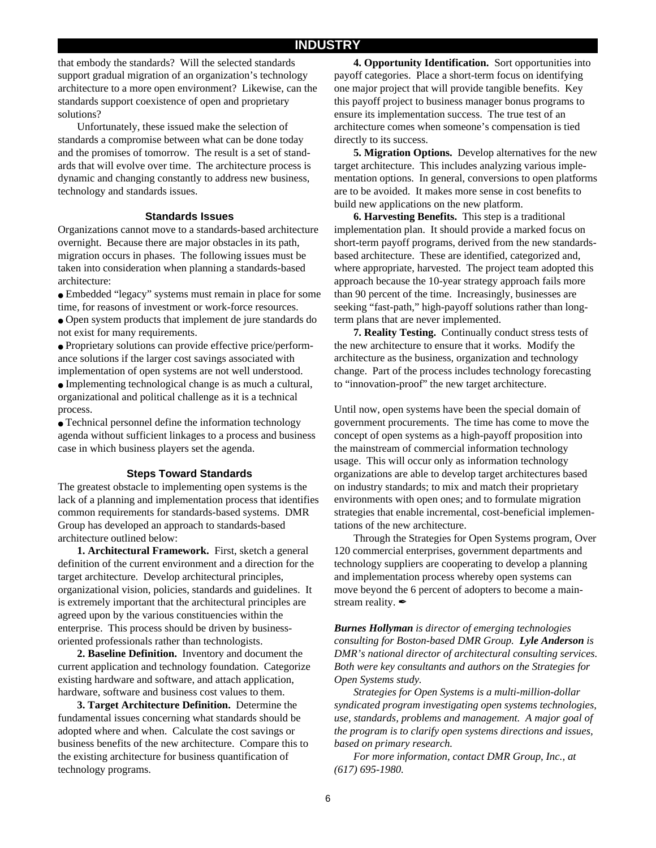that embody the standards? Will the selected standards support gradual migration of an organization's technology architecture to a more open environment? Likewise, can the standards support coexistence of open and proprietary solutions?

Unfortunately, these issued make the selection of standards a compromise between what can be done today and the promises of tomorrow. The result is a set of standards that will evolve over time. The architecture process is dynamic and changing constantly to address new business, technology and standards issues.

#### **Standards Issues**

Organizations cannot move to a standards-based architecture overnight. Because there are major obstacles in its path, migration occurs in phases. The following issues must be taken into consideration when planning a standards-based architecture:

● Embedded "legacy" systems must remain in place for some time, for reasons of investment or work-force resources.

• Open system products that implement de jure standards do not exist for many requirements.

● Proprietary solutions can provide effective price/performance solutions if the larger cost savings associated with implementation of open systems are not well understood.

• Implementing technological change is as much a cultural, organizational and political challenge as it is a technical process.

● Technical personnel define the information technology agenda without sufficient linkages to a process and business case in which business players set the agenda.

#### **Steps Toward Standards**

The greatest obstacle to implementing open systems is the lack of a planning and implementation process that identifies common requirements for standards-based systems. DMR Group has developed an approach to standards-based architecture outlined below:

**1. Architectural Framework.** First, sketch a general definition of the current environment and a direction for the target architecture. Develop architectural principles, organizational vision, policies, standards and guidelines. It is extremely important that the architectural principles are agreed upon by the various constituencies within the enterprise. This process should be driven by businessoriented professionals rather than technologists.

**2. Baseline Definition.** Inventory and document the current application and technology foundation. Categorize existing hardware and software, and attach application, hardware, software and business cost values to them.

**3. Target Architecture Definition.** Determine the fundamental issues concerning what standards should be adopted where and when. Calculate the cost savings or business benefits of the new architecture. Compare this to the existing architecture for business quantification of technology programs.

**4. Opportunity Identification.** Sort opportunities into payoff categories. Place a short-term focus on identifying one major project that will provide tangible benefits. Key this payoff project to business manager bonus programs to ensure its implementation success. The true test of an architecture comes when someone's compensation is tied directly to its success.

**5. Migration Options.** Develop alternatives for the new target architecture. This includes analyzing various implementation options. In general, conversions to open platforms are to be avoided. It makes more sense in cost benefits to build new applications on the new platform.

**6. Harvesting Benefits.** This step is a traditional implementation plan. It should provide a marked focus on short-term payoff programs, derived from the new standardsbased architecture. These are identified, categorized and, where appropriate, harvested. The project team adopted this approach because the 10-year strategy approach fails more than 90 percent of the time. Increasingly, businesses are seeking "fast-path," high-payoff solutions rather than longterm plans that are never implemented.

**7. Reality Testing.** Continually conduct stress tests of the new architecture to ensure that it works. Modify the architecture as the business, organization and technology change. Part of the process includes technology forecasting to "innovation-proof" the new target architecture.

Until now, open systems have been the special domain of government procurements. The time has come to move the concept of open systems as a high-payoff proposition into the mainstream of commercial information technology usage. This will occur only as information technology organizations are able to develop target architectures based on industry standards; to mix and match their proprietary environments with open ones; and to formulate migration strategies that enable incremental, cost-beneficial implementations of the new architecture.

Through the Strategies for Open Systems program, Over 120 commercial enterprises, government departments and technology suppliers are cooperating to develop a planning and implementation process whereby open systems can move beyond the 6 percent of adopters to become a mainstream reality.  $\mathscr{I}$ 

*Burnes Hollyman is director of emerging technologies consulting for Boston-based DMR Group. Lyle Anderson is DMR's national director of architectural consulting services. Both were key consultants and authors on the Strategies for Open Systems study.*

*Strategies for Open Systems is a multi-million-dollar syndicated program investigating open systems technologies, use, standards, problems and management. A major goal of the program is to clarify open systems directions and issues, based on primary research.*

*For more information, contact DMR Group, Inc., at (617) 695-1980.*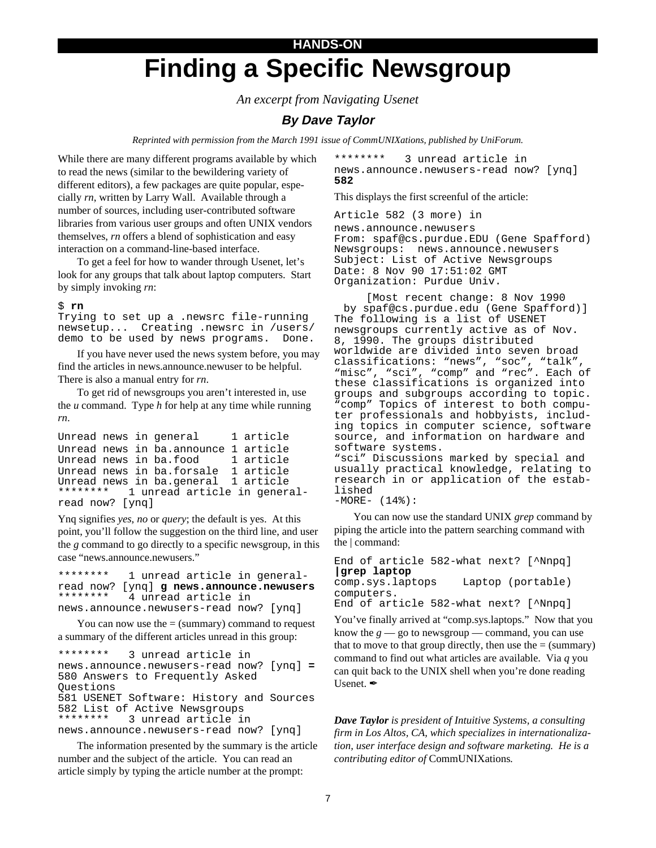# **HANDS-ON Finding a Specific Newsgroup**

*An excerpt from Navigating Usenet*

#### **By Dave Taylor**

*Reprinted with permission from the March 1991 issue of CommUNIXations, published by UniForum.*

While there are many different programs available by which to read the news (similar to the bewildering variety of different editors), a few packages are quite popular, especially *rn*, written by Larry Wall. Available through a number of sources, including user-contributed software libraries from various user groups and often UNIX vendors themselves, *rn* offers a blend of sophistication and easy interaction on a command-line-based interface.

To get a feel for how to wander through Usenet, let's look for any groups that talk about laptop computers. Start by simply invoking *rn*:

#### \$ **rn**

Trying to set up a .newsrc file-running newsetup... Creating .newsrc in /users/ demo to be used by news programs. Done.

If you have never used the news system before, you may find the articles in news.announce.newuser to be helpful. There is also a manual entry for *rn*.

To get rid of newsgroups you aren't interested in, use the *u* command. Type *h* for help at any time while running *rn*.

```
Unread news in general 1 article
Unread news in ba.announce 1 article
Unread news in ba.food 1 article
Unread news in ba.forsale 1 article
Unread news in ba.general 1 article<br>******** 1 unread article in gener
            1 unread article in general-
read now? [ynq]
```
Ynq signifies *yes*, *no* or *query*; the default is yes. At this point, you'll follow the suggestion on the third line, and user the *g* command to go directly to a specific newsgroup, in this case "news.announce.newusers."

\*\*\*\*\*\*\*\* 1 unread article in generalread now? [ynq] **g news.announce.newusers** 4 unread article in news.announce.newusers-read now? [ynq]

You can now use the  $=$  (summary) command to request a summary of the different articles unread in this group:

```
******** 3 unread article in
news.announce.newusers-read now? [ynq] = 580 Answers to Frequently Asked
Questions
581 USENET Software: History and Sources
582 List of Active Newsgroups<br>********  3 upread article i
              3 unread article in
news.announce.newusers-read now? [ynq]
```
The information presented by the summary is the article number and the subject of the article. You can read an article simply by typing the article number at the prompt:

\*\*\*\*\*\*\*\* 3 unread article in news.announce.newusers-read now? [ynq] **582**

This displays the first screenful of the article:

Article 582 (3 more) in news.announce.newusers From: spaf@cs.purdue.EDU (Gene Spafford) Newsgroups: news.announce.newusers Subject: List of Active Newsgroups Date: 8 Nov 90 17:51:02 GMT Organization: Purdue Univ.

[Most recent change: 8 Nov 1990 by spaf@cs.purdue.edu (Gene Spafford)] The following is a list of USENET newsgroups currently active as of Nov. 8, 1990. The groups distributed worldwide are divided into seven broad classifications: "news", "soc", "talk", "misc", "sci", "comp" and "rec". Each of these classifications is organized into groups and subgroups according to topic. "comp" Topics of interest to both computer professionals and hobbyists, including topics in computer science, software source, and information on hardware and software systems. "sci" Discussions marked by special and usually practical knowledge, relating to research in or application of the established -MORE- (14%):

You can now use the standard UNIX *grep* command by piping the article into the pattern searching command with the | command:

End of article 582-what next? [^Nnpq] **|grep laptop** comp.sys.laptops Laptop (portable) computers. End of article 582-what next? [^Nnpq]

You've finally arrived at "comp.sys.laptops." Now that you know the  $g$  — go to newsgroup — command, you can use that to move to that group directly, then use the  $=$  (summary) command to find out what articles are available. Via *q* you can quit back to the UNIX shell when you're done reading Usenet.

*Dave Taylor is president of Intuitive Systems, a consulting firm in Los Altos, CA, which specializes in internationalization, user interface design and software marketing. He is a contributing editor of* CommUNIXations*.*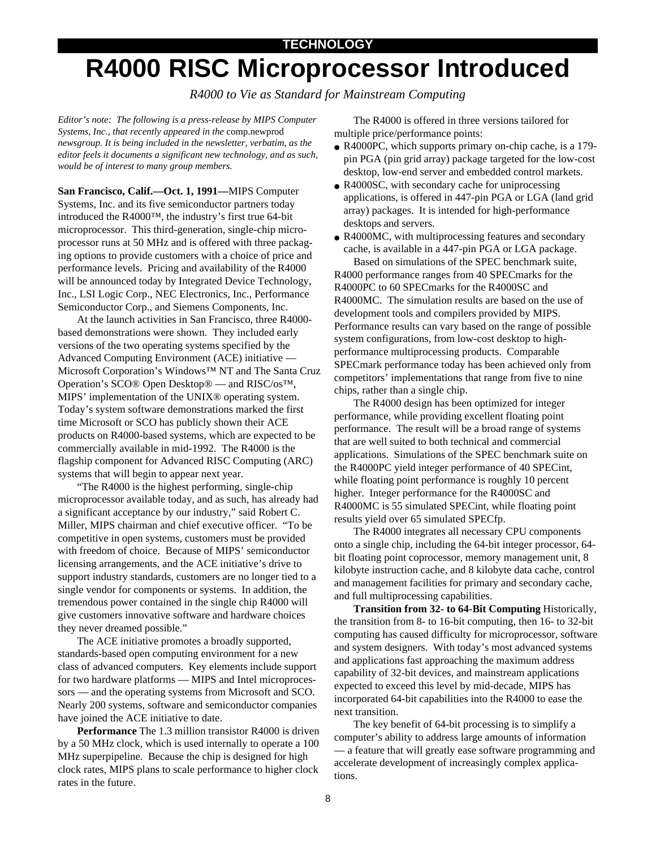#### **TECHNOLOGY**

# **R4000 RISC Microprocessor Introduced**

*R4000 to Vie as Standard for Mainstream Computing*

*Editor's note: The following is a press-release by MIPS Computer Systems, Inc., that recently appeared in the* comp.newprod *newsgroup. It is being included in the newsletter, verbatim, as the editor feels it documents a significant new technology, and as such, would be of interest to many group members.*

**San Francisco, Calif.—Oct. 1, 1991—**MIPS Computer Systems, Inc. and its five semiconductor partners today introduced the R4000™, the industry's first true 64-bit microprocessor. This third-generation, single-chip microprocessor runs at 50 MHz and is offered with three packaging options to provide customers with a choice of price and performance levels. Pricing and availability of the R4000 will be announced today by Integrated Device Technology, Inc., LSI Logic Corp., NEC Electronics, Inc., Performance Semiconductor Corp., and Siemens Components, Inc.

At the launch activities in San Francisco, three R4000 based demonstrations were shown. They included early versions of the two operating systems specified by the Advanced Computing Environment (ACE) initiative — Microsoft Corporation's Windows™ NT and The Santa Cruz Operation's SCO® Open Desktop® — and RISC/os™, MIPS' implementation of the UNIX® operating system. Today's system software demonstrations marked the first time Microsoft or SCO has publicly shown their ACE products on R4000-based systems, which are expected to be commercially available in mid-1992. The R4000 is the flagship component for Advanced RISC Computing (ARC) systems that will begin to appear next year.

"The R4000 is the highest performing, single-chip microprocessor available today, and as such, has already had a significant acceptance by our industry," said Robert C. Miller, MIPS chairman and chief executive officer. "To be competitive in open systems, customers must be provided with freedom of choice. Because of MIPS' semiconductor licensing arrangements, and the ACE initiative's drive to support industry standards, customers are no longer tied to a single vendor for components or systems. In addition, the tremendous power contained in the single chip R4000 will give customers innovative software and hardware choices they never dreamed possible."

The ACE initiative promotes a broadly supported, standards-based open computing environment for a new class of advanced computers. Key elements include support for two hardware platforms — MIPS and Intel microprocessors — and the operating systems from Microsoft and SCO. Nearly 200 systems, software and semiconductor companies have joined the ACE initiative to date.

**Performance** The 1.3 million transistor R4000 is driven by a 50 MHz clock, which is used internally to operate a 100 MHz superpipeline. Because the chip is designed for high clock rates, MIPS plans to scale performance to higher clock rates in the future.

The R4000 is offered in three versions tailored for multiple price/performance points:

- R4000PC, which supports primary on-chip cache, is a 179pin PGA (pin grid array) package targeted for the low-cost desktop, low-end server and embedded control markets.
- R4000SC, with secondary cache for uniprocessing applications, is offered in 447-pin PGA or LGA (land grid array) packages. It is intended for high-performance desktops and servers.
- R4000MC, with multiprocessing features and secondary cache, is available in a 447-pin PGA or LGA package.

Based on simulations of the SPEC benchmark suite, R4000 performance ranges from 40 SPECmarks for the R4000PC to 60 SPECmarks for the R4000SC and R4000MC. The simulation results are based on the use of development tools and compilers provided by MIPS. Performance results can vary based on the range of possible system configurations, from low-cost desktop to highperformance multiprocessing products. Comparable SPECmark performance today has been achieved only from competitors' implementations that range from five to nine chips, rather than a single chip.

The R4000 design has been optimized for integer performance, while providing excellent floating point performance. The result will be a broad range of systems that are well suited to both technical and commercial applications. Simulations of the SPEC benchmark suite on the R4000PC yield integer performance of 40 SPECint, while floating point performance is roughly 10 percent higher. Integer performance for the R4000SC and R4000MC is 55 simulated SPECint, while floating point results yield over 65 simulated SPECfp.

The R4000 integrates all necessary CPU components onto a single chip, including the 64-bit integer processor, 64 bit floating point coprocessor, memory management unit, 8 kilobyte instruction cache, and 8 kilobyte data cache, control and management facilities for primary and secondary cache, and full multiprocessing capabilities.

**Transition from 32- to 64-Bit Computing** Historically, the transition from 8- to 16-bit computing, then 16- to 32-bit computing has caused difficulty for microprocessor, software and system designers. With today's most advanced systems and applications fast approaching the maximum address capability of 32-bit devices, and mainstream applications expected to exceed this level by mid-decade, MIPS has incorporated 64-bit capabilities into the R4000 to ease the next transition.

The key benefit of 64-bit processing is to simplify a computer's ability to address large amounts of information — a feature that will greatly ease software programming and accelerate development of increasingly complex applications.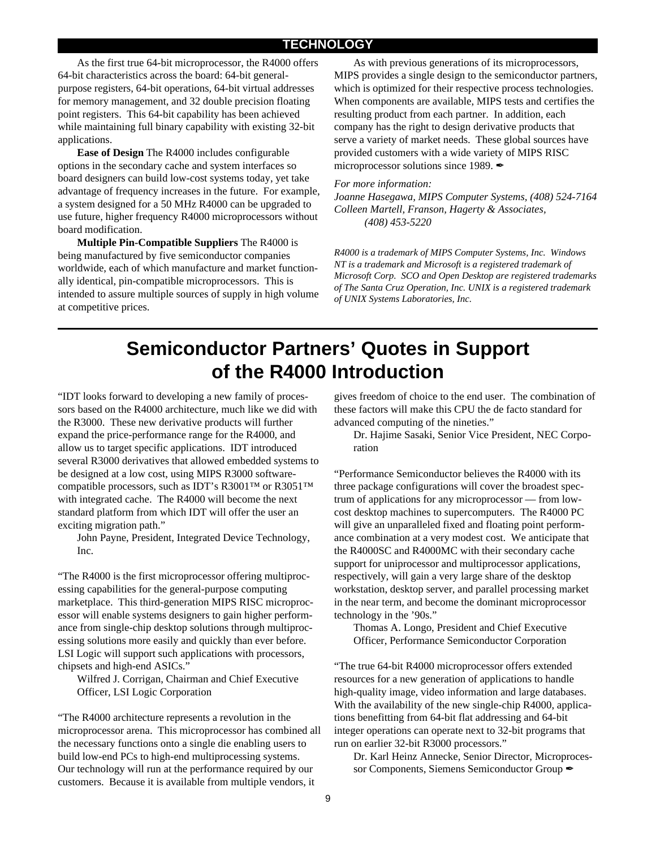#### **TECHNOLOGY**

As the first true 64-bit microprocessor, the R4000 offers 64-bit characteristics across the board: 64-bit generalpurpose registers, 64-bit operations, 64-bit virtual addresses for memory management, and 32 double precision floating point registers. This 64-bit capability has been achieved while maintaining full binary capability with existing 32-bit applications.

**Ease of Design** The R4000 includes configurable options in the secondary cache and system interfaces so board designers can build low-cost systems today, yet take advantage of frequency increases in the future. For example, a system designed for a 50 MHz R4000 can be upgraded to use future, higher frequency R4000 microprocessors without board modification.

**Multiple Pin-Compatible Suppliers** The R4000 is being manufactured by five semiconductor companies worldwide, each of which manufacture and market functionally identical, pin-compatible microprocessors. This is intended to assure multiple sources of supply in high volume at competitive prices.

As with previous generations of its microprocessors, MIPS provides a single design to the semiconductor partners, which is optimized for their respective process technologies. When components are available, MIPS tests and certifies the resulting product from each partner. In addition, each company has the right to design derivative products that serve a variety of market needs. These global sources have provided customers with a wide variety of MIPS RISC microprocessor solutions since 1989.  $\mathscr{I}$ 

#### *For more information:*

*Joanne Hasegawa, MIPS Computer Systems, (408) 524-7164 Colleen Martell, Franson, Hagerty & Associates, (408) 453-5220*

*R4000 is a trademark of MIPS Computer Systems, Inc. Windows NT is a trademark and Microsoft is a registered trademark of Microsoft Corp. SCO and Open Desktop are registered trademarks of The Santa Cruz Operation, Inc. UNIX is a registered trademark of UNIX Systems Laboratories, Inc.*

### **Semiconductor Partners' Quotes in Support of the R4000 Introduction**

"IDT looks forward to developing a new family of processors based on the R4000 architecture, much like we did with the R3000. These new derivative products will further expand the price-performance range for the R4000, and allow us to target specific applications. IDT introduced several R3000 derivatives that allowed embedded systems to be designed at a low cost, using MIPS R3000 softwarecompatible processors, such as IDT's R3001™ or R3051™ with integrated cache. The R4000 will become the next standard platform from which IDT will offer the user an exciting migration path."

John Payne, President, Integrated Device Technology, Inc.

"The R4000 is the first microprocessor offering multiprocessing capabilities for the general-purpose computing marketplace. This third-generation MIPS RISC microprocessor will enable systems designers to gain higher performance from single-chip desktop solutions through multiprocessing solutions more easily and quickly than ever before. LSI Logic will support such applications with processors, chipsets and high-end ASICs."

Wilfred J. Corrigan, Chairman and Chief Executive Officer, LSI Logic Corporation

"The R4000 architecture represents a revolution in the microprocessor arena. This microprocessor has combined all the necessary functions onto a single die enabling users to build low-end PCs to high-end multiprocessing systems. Our technology will run at the performance required by our customers. Because it is available from multiple vendors, it

gives freedom of choice to the end user. The combination of these factors will make this CPU the de facto standard for advanced computing of the nineties."

Dr. Hajime Sasaki, Senior Vice President, NEC Corporation

"Performance Semiconductor believes the R4000 with its three package configurations will cover the broadest spectrum of applications for any microprocessor — from lowcost desktop machines to supercomputers. The R4000 PC will give an unparalleled fixed and floating point performance combination at a very modest cost. We anticipate that the R4000SC and R4000MC with their secondary cache support for uniprocessor and multiprocessor applications, respectively, will gain a very large share of the desktop workstation, desktop server, and parallel processing market in the near term, and become the dominant microprocessor technology in the '90s."

Thomas A. Longo, President and Chief Executive Officer, Performance Semiconductor Corporation

"The true 64-bit R4000 microprocessor offers extended resources for a new generation of applications to handle high-quality image, video information and large databases. With the availability of the new single-chip R4000, applications benefitting from 64-bit flat addressing and 64-bit integer operations can operate next to 32-bit programs that run on earlier 32-bit R3000 processors."

Dr. Karl Heinz Annecke, Senior Director, Microprocessor Components, Siemens Semiconductor Group